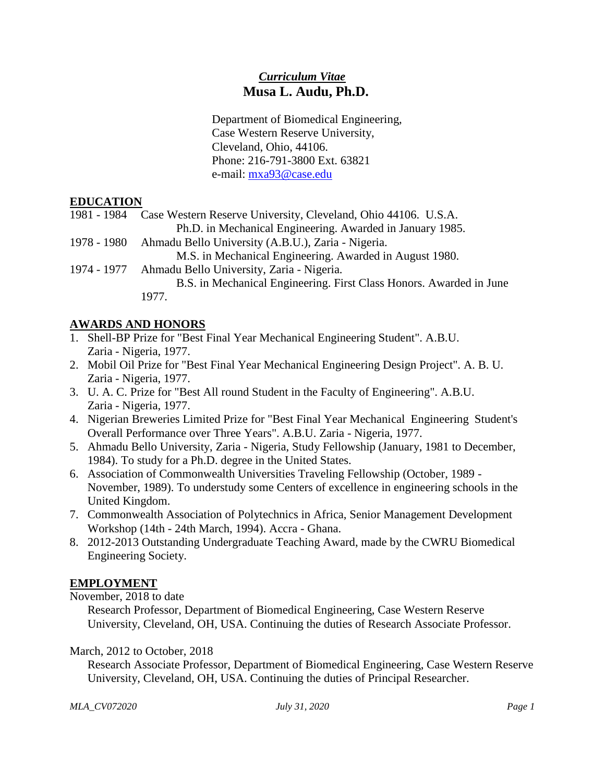## *Curriculum Vitae* **Musa L. Audu, Ph.D.**

Department of Biomedical Engineering, Case Western Reserve University, Cleveland, Ohio, 44106. Phone: 216-791-3800 Ext. 63821 e-mail: [mxa93@case.edu](mailto:mxa93@case.edu)

### **EDUCATION**

- 1981 1984 Case Western Reserve University, Cleveland, Ohio 44106. U.S.A. Ph.D. in Mechanical Engineering. Awarded in January 1985.
- 1978 1980 Ahmadu Bello University (A.B.U.), Zaria Nigeria.
- M.S. in Mechanical Engineering. Awarded in August 1980.
- 1974 1977 Ahmadu Bello University, Zaria Nigeria. B.S. in Mechanical Engineering. First Class Honors. Awarded in June 1977.

### **AWARDS AND HONORS**

- 1. Shell-BP Prize for "Best Final Year Mechanical Engineering Student". A.B.U. Zaria - Nigeria, 1977.
- 2. Mobil Oil Prize for "Best Final Year Mechanical Engineering Design Project". A. B. U. Zaria - Nigeria, 1977.
- 3. U. A. C. Prize for "Best All round Student in the Faculty of Engineering". A.B.U. Zaria - Nigeria, 1977.
- 4. Nigerian Breweries Limited Prize for "Best Final Year Mechanical Engineering Student's Overall Performance over Three Years". A.B.U. Zaria - Nigeria, 1977.
- 5. Ahmadu Bello University, Zaria Nigeria, Study Fellowship (January, 1981 to December, 1984). To study for a Ph.D. degree in the United States.
- 6. Association of Commonwealth Universities Traveling Fellowship (October, 1989 November, 1989). To understudy some Centers of excellence in engineering schools in the United Kingdom.
- 7. Commonwealth Association of Polytechnics in Africa, Senior Management Development Workshop (14th - 24th March, 1994). Accra - Ghana.
- 8. 2012-2013 Outstanding Undergraduate Teaching Award, made by the CWRU Biomedical Engineering Society.

#### **EMPLOYMENT**

#### November, 2018 to date

Research Professor, Department of Biomedical Engineering, Case Western Reserve University, Cleveland, OH, USA. Continuing the duties of Research Associate Professor.

#### March, 2012 to October, 2018

Research Associate Professor, Department of Biomedical Engineering, Case Western Reserve University, Cleveland, OH, USA. Continuing the duties of Principal Researcher.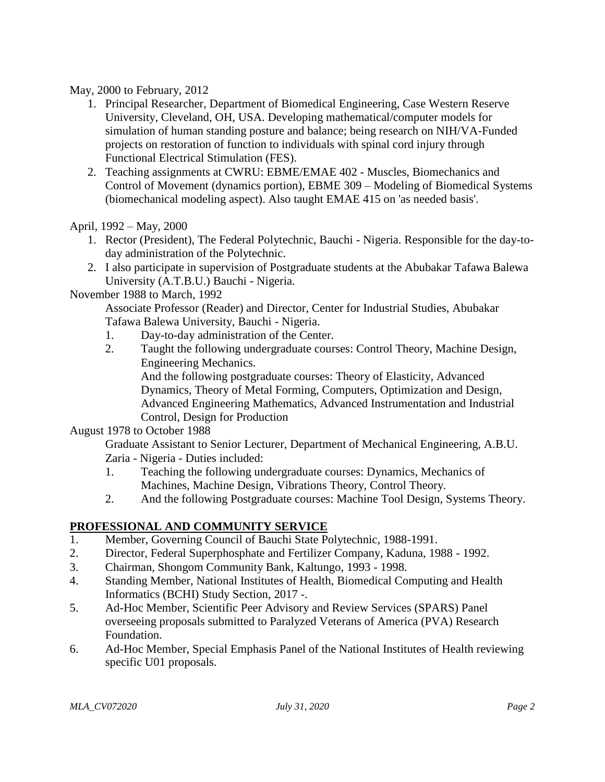May, 2000 to February, 2012

- 1. Principal Researcher, Department of Biomedical Engineering, Case Western Reserve University, Cleveland, OH, USA. Developing mathematical/computer models for simulation of human standing posture and balance; being research on NIH/VA-Funded projects on restoration of function to individuals with spinal cord injury through Functional Electrical Stimulation (FES).
- 2. Teaching assignments at CWRU: EBME/EMAE 402 Muscles, Biomechanics and Control of Movement (dynamics portion), EBME 309 – Modeling of Biomedical Systems (biomechanical modeling aspect). Also taught EMAE 415 on 'as needed basis'.

April, 1992 – May, 2000

- 1. Rector (President), The Federal Polytechnic, Bauchi Nigeria. Responsible for the day-today administration of the Polytechnic.
- 2. I also participate in supervision of Postgraduate students at the Abubakar Tafawa Balewa University (A.T.B.U.) Bauchi - Nigeria.

### November 1988 to March, 1992

Associate Professor (Reader) and Director, Center for Industrial Studies, Abubakar Tafawa Balewa University, Bauchi - Nigeria.

- 1. Day-to-day administration of the Center.
- 2. Taught the following undergraduate courses: Control Theory, Machine Design, Engineering Mechanics. And the following postgraduate courses: Theory of Elasticity, Advanced

Dynamics, Theory of Metal Forming, Computers, Optimization and Design, Advanced Engineering Mathematics, Advanced Instrumentation and Industrial Control, Design for Production

#### August 1978 to October 1988

Graduate Assistant to Senior Lecturer, Department of Mechanical Engineering, A.B.U. Zaria - Nigeria - Duties included:

- 1. Teaching the following undergraduate courses: Dynamics, Mechanics of Machines, Machine Design, Vibrations Theory, Control Theory.
- 2. And the following Postgraduate courses: Machine Tool Design, Systems Theory.

## **PROFESSIONAL AND COMMUNITY SERVICE**

- 1. Member, Governing Council of Bauchi State Polytechnic, 1988-1991.
- 2. Director, Federal Superphosphate and Fertilizer Company, Kaduna, 1988 1992.
- 3. Chairman, Shongom Community Bank, Kaltungo, 1993 1998.
- 4. Standing Member, National Institutes of Health, Biomedical Computing and Health Informatics (BCHI) Study Section, 2017 -.
- 5. Ad-Hoc Member, Scientific Peer Advisory and Review Services (SPARS) Panel overseeing proposals submitted to Paralyzed Veterans of America (PVA) Research Foundation.
- 6. Ad-Hoc Member, Special Emphasis Panel of the National Institutes of Health reviewing specific U01 proposals.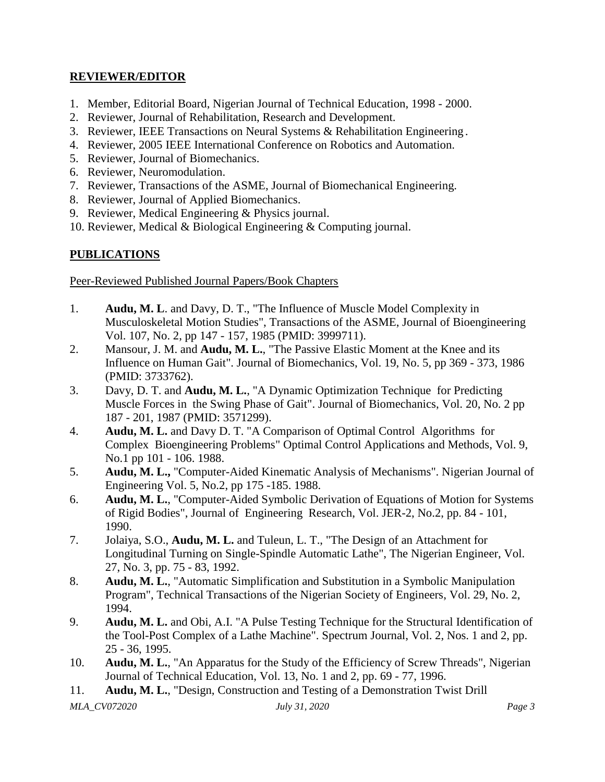#### **REVIEWER/EDITOR**

- 1. Member, Editorial Board, Nigerian Journal of Technical Education, 1998 2000.
- 2. Reviewer, Journal of Rehabilitation, Research and Development.
- 3. Reviewer, IEEE Transactions on Neural Systems & Rehabilitation Engineering.
- 4. Reviewer, 2005 IEEE International Conference on Robotics and Automation.
- 5. Reviewer, Journal of Biomechanics.
- 6. Reviewer, Neuromodulation.
- 7. Reviewer, Transactions of the ASME, Journal of Biomechanical Engineering.
- 8. Reviewer, Journal of Applied Biomechanics.
- 9. Reviewer, Medical Engineering & Physics journal.
- 10. Reviewer, Medical & Biological Engineering & Computing journal.

## **PUBLICATIONS**

Peer-Reviewed Published Journal Papers/Book Chapters

- 1. **Audu, M. L**. and Davy, D. T., "The Influence of Muscle Model Complexity in Musculoskeletal Motion Studies", Transactions of the ASME, Journal of Bioengineering Vol. 107, No. 2, pp 147 - 157, 1985 (PMID: 3999711).
- 2. Mansour, J. M. and **Audu, M. L.**, "The Passive Elastic Moment at the Knee and its Influence on Human Gait". Journal of Biomechanics, Vol. 19, No. 5, pp 369 - 373, 1986 (PMID: 3733762).
- 3. Davy, D. T. and **Audu, M. L.**, "A Dynamic Optimization Technique for Predicting Muscle Forces in the Swing Phase of Gait". Journal of Biomechanics, Vol. 20, No. 2 pp 187 - 201, 1987 (PMID: 3571299).
- 4. **Audu, M. L.** and Davy D. T. "A Comparison of Optimal Control Algorithms for Complex Bioengineering Problems" Optimal Control Applications and Methods, Vol. 9, No.1 pp 101 - 106. 1988.
- 5. **Audu, M. L.,** "Computer-Aided Kinematic Analysis of Mechanisms". Nigerian Journal of Engineering Vol. 5, No.2, pp 175 -185. 1988.
- 6. **Audu, M. L.**, "Computer-Aided Symbolic Derivation of Equations of Motion for Systems of Rigid Bodies", Journal of Engineering Research, Vol. JER-2, No.2, pp. 84 - 101, 1990.
- 7. Jolaiya, S.O., **Audu, M. L.** and Tuleun, L. T., "The Design of an Attachment for Longitudinal Turning on Single-Spindle Automatic Lathe", The Nigerian Engineer, Vol. 27, No. 3, pp. 75 - 83, 1992.
- 8. **Audu, M. L.**, "Automatic Simplification and Substitution in a Symbolic Manipulation Program", Technical Transactions of the Nigerian Society of Engineers, Vol. 29, No. 2, 1994.
- 9. **Audu, M. L.** and Obi, A.I. "A Pulse Testing Technique for the Structural Identification of the Tool-Post Complex of a Lathe Machine". Spectrum Journal, Vol. 2, Nos. 1 and 2, pp. 25 - 36, 1995.
- 10. **Audu, M. L.**, "An Apparatus for the Study of the Efficiency of Screw Threads", Nigerian Journal of Technical Education, Vol. 13, No. 1 and 2, pp. 69 - 77, 1996.
- *MLA\_CV072020 July 31, 2020 Page 3* 11. **Audu, M. L.**, "Design, Construction and Testing of a Demonstration Twist Drill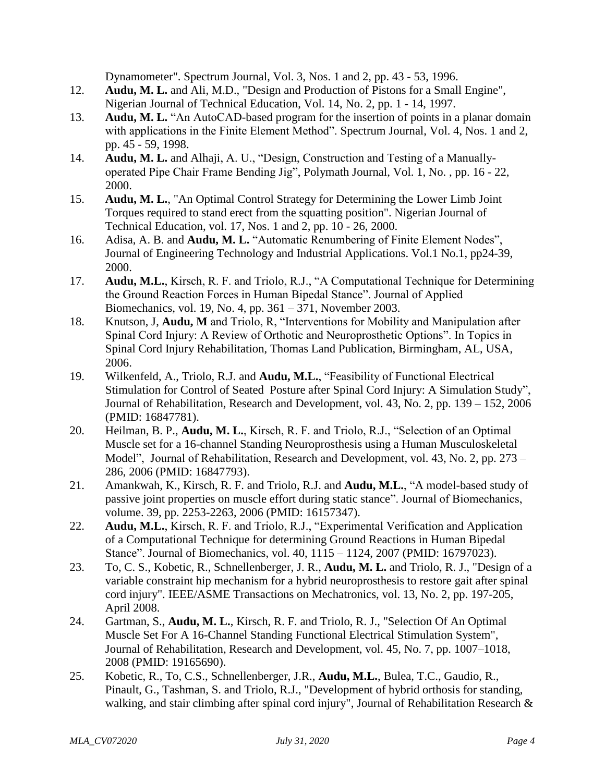Dynamometer". Spectrum Journal, Vol. 3, Nos. 1 and 2, pp. 43 - 53, 1996.

- 12. **Audu, M. L.** and Ali, M.D., "Design and Production of Pistons for a Small Engine", Nigerian Journal of Technical Education, Vol. 14, No. 2, pp. 1 - 14, 1997.
- 13. **Audu, M. L.** "An AutoCAD-based program for the insertion of points in a planar domain with applications in the Finite Element Method". Spectrum Journal, Vol. 4, Nos. 1 and 2, pp. 45 - 59, 1998.
- 14. **Audu, M. L.** and Alhaji, A. U., "Design, Construction and Testing of a Manuallyoperated Pipe Chair Frame Bending Jig", Polymath Journal, Vol. 1, No. , pp. 16 - 22, 2000.
- 15. **Audu, M. L.**, "An Optimal Control Strategy for Determining the Lower Limb Joint Torques required to stand erect from the squatting position". Nigerian Journal of Technical Education, vol. 17, Nos. 1 and 2, pp. 10 - 26, 2000.
- 16. Adisa, A. B. and **Audu, M. L.** "Automatic Renumbering of Finite Element Nodes", Journal of Engineering Technology and Industrial Applications. Vol.1 No.1, pp24-39, 2000.
- 17. **Audu, M.L.**, Kirsch, R. F. and Triolo, R.J., "A Computational Technique for Determining the Ground Reaction Forces in Human Bipedal Stance". Journal of Applied Biomechanics, vol. 19, No. 4, pp. 361 – 371, November 2003.
- 18. Knutson, J, **Audu, M** and Triolo, R, "Interventions for Mobility and Manipulation after Spinal Cord Injury: A Review of Orthotic and Neuroprosthetic Options". In Topics in Spinal Cord Injury Rehabilitation, Thomas Land Publication, Birmingham, AL, USA, 2006.
- 19. Wilkenfeld, A., Triolo, R.J. and **Audu, M.L.**, "Feasibility of Functional Electrical Stimulation for Control of Seated Posture after Spinal Cord Injury: A Simulation Study", Journal of Rehabilitation, Research and Development, vol. 43, No. 2, pp. 139 – 152, 2006 (PMID: 16847781).
- 20. Heilman, B. P., **Audu, M. L.**, Kirsch, R. F. and Triolo, R.J., "Selection of an Optimal Muscle set for a 16-channel Standing Neuroprosthesis using a Human Musculoskeletal Model", Journal of Rehabilitation, Research and Development, vol. 43, No. 2, pp. 273 – 286, 2006 (PMID: 16847793).
- 21. Amankwah, K., Kirsch, R. F. and Triolo, R.J. and **Audu, M.L.**, "A model-based study of passive joint properties on muscle effort during static stance". Journal of Biomechanics, volume. 39, pp. 2253-2263, 2006 (PMID: 16157347).
- 22. **Audu, M.L.**, Kirsch, R. F. and Triolo, R.J., "Experimental Verification and Application of a Computational Technique for determining Ground Reactions in Human Bipedal Stance". Journal of Biomechanics, vol. 40, 1115 – 1124, 2007 (PMID: 16797023).
- 23. To, C. S., Kobetic, R., Schnellenberger, J. R., **Audu, M. L.** and Triolo, R. J., "Design of a variable constraint hip mechanism for a hybrid neuroprosthesis to restore gait after spinal cord injury". IEEE/ASME Transactions on Mechatronics, vol. 13, No. 2, pp. 197-205, April 2008.
- 24. Gartman, S., **Audu, M. L.**, Kirsch, R. F. and Triolo, R. J., "Selection Of An Optimal Muscle Set For A 16-Channel Standing Functional Electrical Stimulation System", Journal of Rehabilitation, Research and Development, vol. 45, No. 7, pp. 1007–1018, 2008 (PMID: 19165690).
- 25. Kobetic, R., To, C.S., Schnellenberger, J.R., **Audu, M.L.**, Bulea, T.C., Gaudio, R., Pinault, G., Tashman, S. and Triolo, R.J., "Development of hybrid orthosis for standing, walking, and stair climbing after spinal cord injury", Journal of Rehabilitation Research &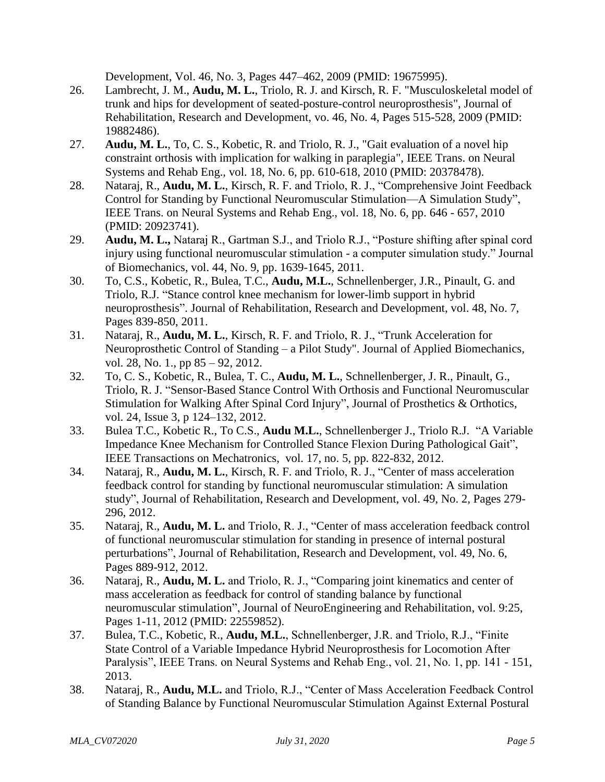Development, Vol. 46, No. 3, Pages 447–462, 2009 (PMID: 19675995).

- 26. Lambrecht, J. M., **Audu, M. L.**, Triolo, R. J. and Kirsch, R. F. "Musculoskeletal model of trunk and hips for development of seated-posture-control neuroprosthesis", Journal of Rehabilitation, Research and Development, vo. 46, No. 4, Pages 515-528, 2009 (PMID: 19882486).
- 27. **Audu, M. L.**, To, C. S., Kobetic, R. and Triolo, R. J., "Gait evaluation of a novel hip constraint orthosis with implication for walking in paraplegia", IEEE Trans. on Neural Systems and Rehab Eng., vol. 18, No. 6, pp. 610-618, 2010 (PMID: 20378478).
- 28. Nataraj, R., **Audu, M. L.**, Kirsch, R. F. and Triolo, R. J., "Comprehensive Joint Feedback Control for Standing by Functional Neuromuscular Stimulation—A Simulation Study", IEEE Trans. on Neural Systems and Rehab Eng., vol. 18, No. 6, pp. 646 - 657, 2010 (PMID: 20923741).
- 29. **Audu, M. L.,** Nataraj R., Gartman S.J., and Triolo R.J., "Posture shifting after spinal cord injury using functional neuromuscular stimulation - a computer simulation study." Journal of Biomechanics, vol. 44, No. 9, pp. 1639-1645, 2011.
- 30. To, C.S., Kobetic, R., Bulea, T.C., **Audu, M.L.**, Schnellenberger, J.R., Pinault, G. and Triolo, R.J. "Stance control knee mechanism for lower-limb support in hybrid neuroprosthesis". Journal of Rehabilitation, Research and Development, vol. 48, No. 7, Pages 839-850, 2011.
- 31. Nataraj, R., **Audu, M. L.**, Kirsch, R. F. and Triolo, R. J., "Trunk Acceleration for Neuroprosthetic Control of Standing – a Pilot Study". Journal of Applied Biomechanics, vol. 28, No. 1., pp 85 – 92, 2012.
- 32. To, C. S., Kobetic, R., Bulea, T. C., **Audu, M. L.**, Schnellenberger, J. R., Pinault, G., Triolo, R. J. "Sensor-Based Stance Control With Orthosis and Functional Neuromuscular Stimulation for Walking After Spinal Cord Injury", Journal of Prosthetics & Orthotics, vol. 24, Issue 3, p 124–132, 2012.
- 33. Bulea T.C., Kobetic R., To C.S., **Audu M.L.**, Schnellenberger J., Triolo R.J. "A Variable Impedance Knee Mechanism for Controlled Stance Flexion During Pathological Gait", IEEE Transactions on Mechatronics, vol. 17, no. 5, pp. 822-832, 2012.
- 34. Nataraj, R., **Audu, M. L.**, Kirsch, R. F. and Triolo, R. J., "Center of mass acceleration feedback control for standing by functional neuromuscular stimulation: A simulation study", Journal of Rehabilitation, Research and Development, vol. 49, No. 2, Pages 279- 296, 2012.
- 35. Nataraj, R., **Audu, M. L.** and Triolo, R. J., "Center of mass acceleration feedback control of functional neuromuscular stimulation for standing in presence of internal postural perturbations", Journal of Rehabilitation, Research and Development, vol. 49, No. 6, Pages 889-912, 2012.
- 36. Nataraj, R., **Audu, M. L.** and Triolo, R. J., "Comparing joint kinematics and center of mass acceleration as feedback for control of standing balance by functional neuromuscular stimulation", Journal of NeuroEngineering and Rehabilitation, vol. 9:25, Pages 1-11, 2012 (PMID: 22559852).
- 37. Bulea, T.C., Kobetic, R., **Audu, M.L.**, Schnellenberger, J.R. and Triolo, R.J., "Finite State Control of a Variable Impedance Hybrid Neuroprosthesis for Locomotion After Paralysis", IEEE Trans. on Neural Systems and Rehab Eng., vol. 21, No. 1, pp. 141 - 151, 2013.
- 38. Nataraj, R., **Audu, M.L.** and Triolo, R.J., "Center of Mass Acceleration Feedback Control of Standing Balance by Functional Neuromuscular Stimulation Against External Postural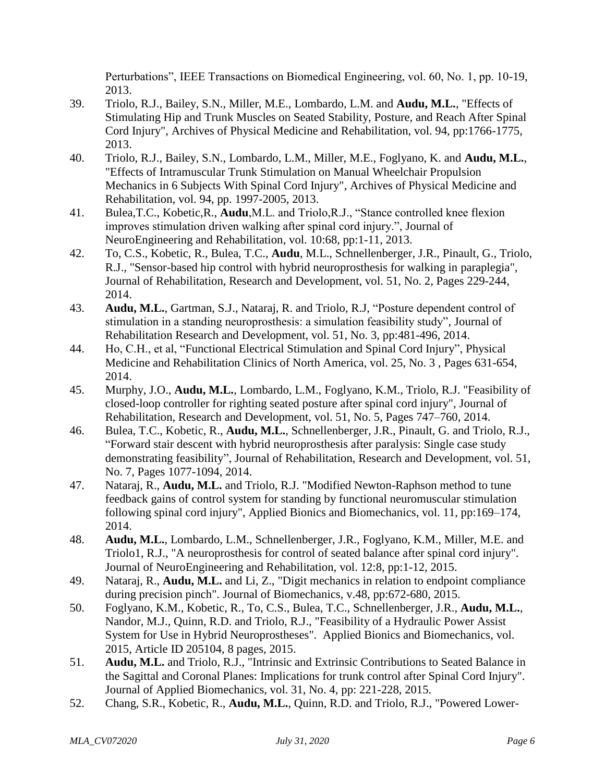Perturbations", IEEE Transactions on Biomedical Engineering, vol. 60, No. 1, pp. 10-19, 2013.

- 39. Triolo, R.J., Bailey, S.N., Miller, M.E., Lombardo, L.M. and **Audu, M.L.**, "Effects of Stimulating Hip and Trunk Muscles on Seated Stability, Posture, and Reach After Spinal Cord Injury", Archives of Physical Medicine and Rehabilitation, vol. 94, pp:1766-1775, 2013.
- 40. Triolo, R.J., Bailey, S.N., Lombardo, L.M., Miller, M.E., Foglyano, K. and **Audu, M.L.**, "Effects of Intramuscular Trunk Stimulation on Manual Wheelchair Propulsion Mechanics in 6 Subjects With Spinal Cord Injury", Archives of Physical Medicine and Rehabilitation, vol. 94, pp. 1997-2005, 2013.
- 41. Bulea,T.C., Kobetic,R., **Audu**,M.L. and Triolo,R.J., "Stance controlled knee flexion improves stimulation driven walking after spinal cord injury.", Journal of NeuroEngineering and Rehabilitation, vol. 10:68, pp:1-11, 2013.
- 42. To, C.S., Kobetic, R., Bulea, T.C., **Audu**, M.L., Schnellenberger, J.R., Pinault, G., Triolo, R.J., "Sensor-based hip control with hybrid neuroprosthesis for walking in paraplegia", Journal of Rehabilitation, Research and Development, vol. 51, No. 2, Pages 229-244, 2014.
- 43. **Audu, M.L.**, Gartman, S.J., Nataraj, R. and Triolo, R.J, "Posture dependent control of stimulation in a standing neuroprosthesis: a simulation feasibility study", Journal of Rehabilitation Research and Development, vol. 51, No. 3, pp:481-496, 2014.
- 44. Ho, C.H., et al, "Functional Electrical Stimulation and Spinal Cord Injury", Physical Medicine and Rehabilitation Clinics of North America, vol. 25, No. 3 , Pages 631-654, 2014.
- 45. Murphy, J.O., **Audu, M.L.**, Lombardo, L.M., Foglyano, K.M., Triolo, R.J. "Feasibility of closed-loop controller for righting seated posture after spinal cord injury", Journal of Rehabilitation, Research and Development, vol. 51, No. 5, Pages 747–760, 2014.
- 46. Bulea, T.C., Kobetic, R., **Audu, M.L.**, Schnellenberger, J.R., Pinault, G. and Triolo, R.J., "Forward stair descent with hybrid neuroprosthesis after paralysis: Single case study demonstrating feasibility", Journal of Rehabilitation, Research and Development, vol. 51, No. 7, Pages 1077-1094, 2014.
- 47. Nataraj, R., **Audu, M.L.** and Triolo, R.J. "Modified Newton-Raphson method to tune feedback gains of control system for standing by functional neuromuscular stimulation following spinal cord injury", Applied Bionics and Biomechanics, vol. 11, pp:169–174, 2014.
- 48. **Audu, M.L.**, Lombardo, L.M., Schnellenberger, J.R., Foglyano, K.M., Miller, M.E. and Triolo1, R.J., "A neuroprosthesis for control of seated balance after spinal cord injury". Journal of NeuroEngineering and Rehabilitation, vol. 12:8, pp:1-12, 2015.
- 49. Nataraj, R., **Audu, M.L.** and Li, Z., "Digit mechanics in relation to endpoint compliance during precision pinch". Journal of Biomechanics, v.48, pp:672-680, 2015.
- 50. Foglyano, K.M., Kobetic, R., To, C.S., Bulea, T.C., Schnellenberger, J.R., **Audu, M.L.**, Nandor, M.J., Quinn, R.D. and Triolo, R.J., "Feasibility of a Hydraulic Power Assist System for Use in Hybrid Neuroprostheses". Applied Bionics and Biomechanics, vol. 2015, Article ID 205104, 8 pages, 2015.
- 51. **Audu, M.L.** and Triolo, R.J., "Intrinsic and Extrinsic Contributions to Seated Balance in the Sagittal and Coronal Planes: Implications for trunk control after Spinal Cord Injury". Journal of Applied Biomechanics, vol. 31, No. 4, pp: 221-228, 2015.
- 52. Chang, S.R., Kobetic, R., **Audu, M.L.**, Quinn, R.D. and Triolo, R.J., "Powered Lower-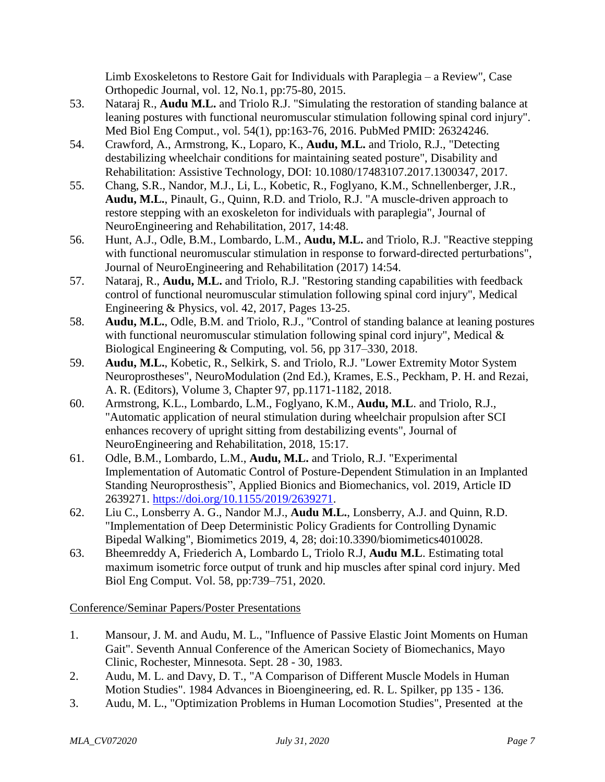Limb Exoskeletons to Restore Gait for Individuals with Paraplegia – a Review", Case Orthopedic Journal, vol. 12, No.1, pp:75-80, 2015.

- 53. Nataraj R., **Audu M.L.** and Triolo R.J. "Simulating the restoration of standing balance at leaning postures with functional neuromuscular stimulation following spinal cord injury". Med Biol Eng Comput., vol. 54(1), pp:163-76, 2016. PubMed PMID: 26324246.
- 54. Crawford, A., Armstrong, K., Loparo, K., **Audu, M.L.** and Triolo, R.J., "Detecting destabilizing wheelchair conditions for maintaining seated posture", Disability and Rehabilitation: Assistive Technology, DOI: 10.1080/17483107.2017.1300347, 2017.
- 55. Chang, S.R., Nandor, M.J., Li, L., Kobetic, R., Foglyano, K.M., Schnellenberger, J.R., **Audu, M.L.**, Pinault, G., Quinn, R.D. and Triolo, R.J. "A muscle-driven approach to restore stepping with an exoskeleton for individuals with paraplegia", Journal of NeuroEngineering and Rehabilitation, 2017, 14:48.
- 56. Hunt, A.J., Odle, B.M., Lombardo, L.M., **Audu, M.L.** and Triolo, R.J. "Reactive stepping with functional neuromuscular stimulation in response to forward-directed perturbations", Journal of NeuroEngineering and Rehabilitation (2017) 14:54.
- 57. Nataraj, R., **Audu, M.L.** and Triolo, R.J. "Restoring standing capabilities with feedback control of functional neuromuscular stimulation following spinal cord injury", Medical Engineering & Physics, vol. 42, 2017, Pages 13-25.
- 58. **Audu, M.L.**, Odle, B.M. and Triolo, R.J., "Control of standing balance at leaning postures with functional neuromuscular stimulation following spinal cord injury", Medical & Biological Engineering & Computing, vol. 56, pp 317–330, 2018.
- 59. **Audu, M.L.**, Kobetic, R., Selkirk, S. and Triolo, R.J. "Lower Extremity Motor System Neuroprostheses", NeuroModulation (2nd Ed.), Krames, E.S., Peckham, P. H. and Rezai, A. R. (Editors), Volume 3, Chapter 97, pp.1171-1182, 2018.
- 60. Armstrong, K.L., Lombardo, L.M., Foglyano, K.M., **Audu, M.L**. and Triolo, R.J., "Automatic application of neural stimulation during wheelchair propulsion after SCI enhances recovery of upright sitting from destabilizing events", Journal of NeuroEngineering and Rehabilitation, 2018, 15:17.
- 61. Odle, B.M., Lombardo, L.M., **Audu, M.L.** and Triolo, R.J. "Experimental Implementation of Automatic Control of Posture-Dependent Stimulation in an Implanted Standing Neuroprosthesis", Applied Bionics and Biomechanics, vol. 2019, Article ID 2639271. [https://doi.org/10.1155/2019/2639271.](https://doi.org/10.1155/2019/2639271)
- 62. Liu C., Lonsberry A. G., Nandor M.J., **Audu M.L.**, Lonsberry, A.J. and Quinn, R.D. "Implementation of Deep Deterministic Policy Gradients for Controlling Dynamic Bipedal Walking", Biomimetics 2019, 4, 28; doi:10.3390/biomimetics4010028.
- 63. Bheemreddy A, Friederich A, Lombardo L, Triolo R.J, **Audu M.L**. Estimating total maximum isometric force output of trunk and hip muscles after spinal cord injury. Med Biol Eng Comput. Vol. 58, pp:739–751, 2020.

Conference/Seminar Papers/Poster Presentations

- 1. Mansour, J. M. and Audu, M. L., "Influence of Passive Elastic Joint Moments on Human Gait". Seventh Annual Conference of the American Society of Biomechanics, Mayo Clinic, Rochester, Minnesota. Sept. 28 - 30, 1983.
- 2. Audu, M. L. and Davy, D. T., "A Comparison of Different Muscle Models in Human Motion Studies". 1984 Advances in Bioengineering, ed. R. L. Spilker, pp 135 - 136.
- 3. Audu, M. L., "Optimization Problems in Human Locomotion Studies", Presented at the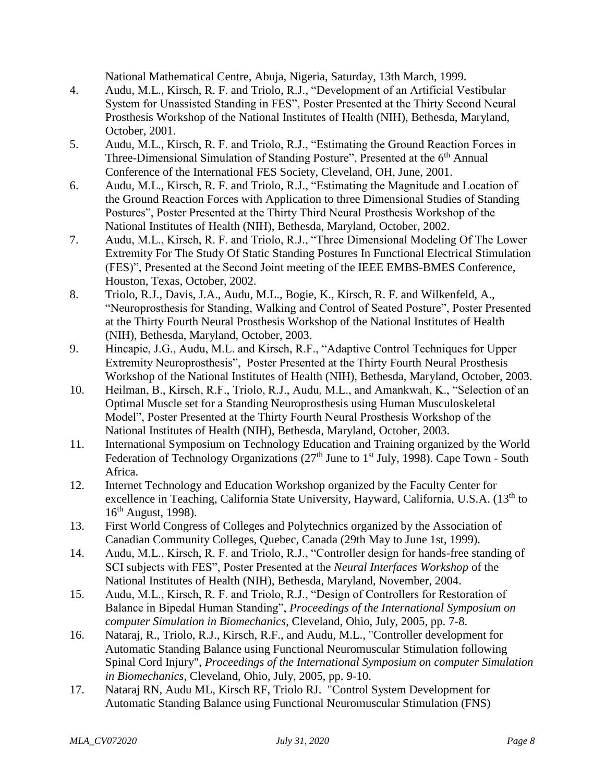National Mathematical Centre, Abuja, Nigeria, Saturday, 13th March, 1999.

- 4. Audu, M.L., Kirsch, R. F. and Triolo, R.J., "Development of an Artificial Vestibular System for Unassisted Standing in FES", Poster Presented at the Thirty Second Neural Prosthesis Workshop of the National Institutes of Health (NIH), Bethesda, Maryland, October, 2001.
- 5. Audu, M.L., Kirsch, R. F. and Triolo, R.J., "Estimating the Ground Reaction Forces in Three-Dimensional Simulation of Standing Posture", Presented at the 6<sup>th</sup> Annual Conference of the International FES Society, Cleveland, OH, June, 2001.
- 6. Audu, M.L., Kirsch, R. F. and Triolo, R.J., "Estimating the Magnitude and Location of the Ground Reaction Forces with Application to three Dimensional Studies of Standing Postures", Poster Presented at the Thirty Third Neural Prosthesis Workshop of the National Institutes of Health (NIH), Bethesda, Maryland, October, 2002.
- 7. Audu, M.L., Kirsch, R. F. and Triolo, R.J., "Three Dimensional Modeling Of The Lower Extremity For The Study Of Static Standing Postures In Functional Electrical Stimulation (FES)", Presented at the Second Joint meeting of the IEEE EMBS-BMES Conference, Houston, Texas, October, 2002.
- 8. Triolo, R.J., Davis, J.A., Audu, M.L., Bogie, K., Kirsch, R. F. and Wilkenfeld, A., "Neuroprosthesis for Standing, Walking and Control of Seated Posture", Poster Presented at the Thirty Fourth Neural Prosthesis Workshop of the National Institutes of Health (NIH), Bethesda, Maryland, October, 2003.
- 9. Hincapie, J.G., Audu, M.L. and Kirsch, R.F., "Adaptive Control Techniques for Upper Extremity Neuroprosthesis", Poster Presented at the Thirty Fourth Neural Prosthesis Workshop of the National Institutes of Health (NIH), Bethesda, Maryland, October, 2003.
- 10. Heilman, B., Kirsch, R.F., Triolo, R.J., Audu, M.L., and Amankwah, K., "Selection of an Optimal Muscle set for a Standing Neuroprosthesis using Human Musculoskeletal Model", Poster Presented at the Thirty Fourth Neural Prosthesis Workshop of the National Institutes of Health (NIH), Bethesda, Maryland, October, 2003.
- 11. International Symposium on Technology Education and Training organized by the World Federation of Technology Organizations ( $27<sup>th</sup>$  June to  $1<sup>st</sup>$  July, 1998). Cape Town - South Africa.
- 12. Internet Technology and Education Workshop organized by the Faculty Center for excellence in Teaching, California State University, Hayward, California, U.S.A. (13<sup>th</sup> to  $16<sup>th</sup>$  August, 1998).
- 13. First World Congress of Colleges and Polytechnics organized by the Association of Canadian Community Colleges, Quebec, Canada (29th May to June 1st, 1999).
- 14. Audu, M.L., Kirsch, R. F. and Triolo, R.J., "Controller design for hands-free standing of SCI subjects with FES", Poster Presented at the *Neural Interfaces Workshop* of the National Institutes of Health (NIH), Bethesda, Maryland, November, 2004.
- 15. Audu, M.L., Kirsch, R. F. and Triolo, R.J., "Design of Controllers for Restoration of Balance in Bipedal Human Standing", *Proceedings of the International Symposium on computer Simulation in Biomechanics*, Cleveland, Ohio, July, 2005, pp. 7-8.
- 16. Nataraj, R., Triolo, R.J., Kirsch, R.F., and Audu, M.L., "Controller development for Automatic Standing Balance using Functional Neuromuscular Stimulation following Spinal Cord Injury", *Proceedings of the International Symposium on computer Simulation in Biomechanics*, Cleveland, Ohio, July, 2005, pp. 9-10.
- 17. Nataraj RN, Audu ML, Kirsch RF, Triolo RJ. "Control System Development for Automatic Standing Balance using Functional Neuromuscular Stimulation (FNS)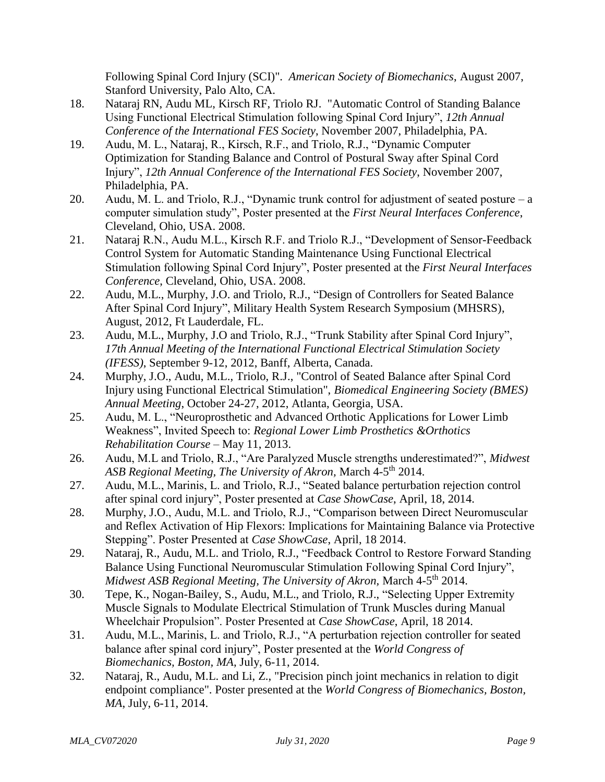Following Spinal Cord Injury (SCI)". *American Society of Biomechanics*, August 2007, Stanford University, Palo Alto, CA.

- 18. Nataraj RN, Audu ML, Kirsch RF, Triolo RJ. "Automatic Control of Standing Balance Using Functional Electrical Stimulation following Spinal Cord Injury", *12th Annual Conference of the International FES Society*, November 2007, Philadelphia, PA.
- 19. Audu, M. L., Nataraj, R., Kirsch, R.F., and Triolo, R.J., "Dynamic Computer Optimization for Standing Balance and Control of Postural Sway after Spinal Cord Injury", *12th Annual Conference of the International FES Society*, November 2007, Philadelphia, PA.
- 20. Audu, M. L. and Triolo, R.J., "Dynamic trunk control for adjustment of seated posture a computer simulation study", Poster presented at the *First Neural Interfaces Conference*, Cleveland, Ohio, USA. 2008.
- 21. Nataraj R.N., Audu M.L., Kirsch R.F. and Triolo R.J., "Development of Sensor-Feedback Control System for Automatic Standing Maintenance Using Functional Electrical Stimulation following Spinal Cord Injury", Poster presented at the *First Neural Interfaces Conference*, Cleveland, Ohio, USA. 2008.
- 22. Audu, M.L., Murphy, J.O. and Triolo, R.J., "Design of Controllers for Seated Balance After Spinal Cord Injury", Military Health System Research Symposium (MHSRS), August, 2012, Ft Lauderdale, FL.
- 23. Audu, M.L., Murphy, J.O and Triolo, R.J., "Trunk Stability after Spinal Cord Injury", *17th Annual Meeting of the International Functional Electrical Stimulation Society (IFESS)*, September 9-12, 2012, Banff, Alberta, Canada.
- 24. Murphy, J.O., Audu, M.L., Triolo, R.J., "Control of Seated Balance after Spinal Cord Injury using Functional Electrical Stimulation", *Biomedical Engineering Society (BMES) Annual Meeting*, October 24-27, 2012, Atlanta, Georgia, USA.
- 25. Audu, M. L., "Neuroprosthetic and Advanced Orthotic Applications for Lower Limb Weakness", Invited Speech to: *Regional Lower Limb Prosthetics &Orthotics Rehabilitation Course* – May 11, 2013.
- 26. Audu, M.L and Triolo, R.J., "Are Paralyzed Muscle strengths underestimated?", *Midwest ASB Regional Meeting, The University of Akron,* March 4-5 th 2014.
- 27. Audu, M.L., Marinis, L. and Triolo, R.J., "Seated balance perturbation rejection control after spinal cord injury", Poster presented at *Case ShowCase*, April, 18, 2014.
- 28. Murphy, J.O., Audu, M.L. and Triolo, R.J., "Comparison between Direct Neuromuscular and Reflex Activation of Hip Flexors: Implications for Maintaining Balance via Protective Stepping". Poster Presented at *Case ShowCase*, April, 18 2014.
- 29. Nataraj, R., Audu, M.L. and Triolo, R.J., "Feedback Control to Restore Forward Standing Balance Using Functional Neuromuscular Stimulation Following Spinal Cord Injury", *Midwest ASB Regional Meeting, The University of Akron,* March 4-5 th 2014.
- 30. Tepe, K., Nogan-Bailey, S., Audu, M.L., and Triolo, R.J., "Selecting Upper Extremity Muscle Signals to Modulate Electrical Stimulation of Trunk Muscles during Manual Wheelchair Propulsion". Poster Presented at *Case ShowCase*, April, 18 2014.
- 31. Audu, M.L., Marinis, L. and Triolo, R.J., "A perturbation rejection controller for seated balance after spinal cord injury", Poster presented at the *World Congress of Biomechanics, Boston, MA*, July, 6-11, 2014.
- 32. Nataraj, R., Audu, M.L. and Li, Z., "Precision pinch joint mechanics in relation to digit endpoint compliance". Poster presented at the *World Congress of Biomechanics, Boston, MA*, July, 6-11, 2014.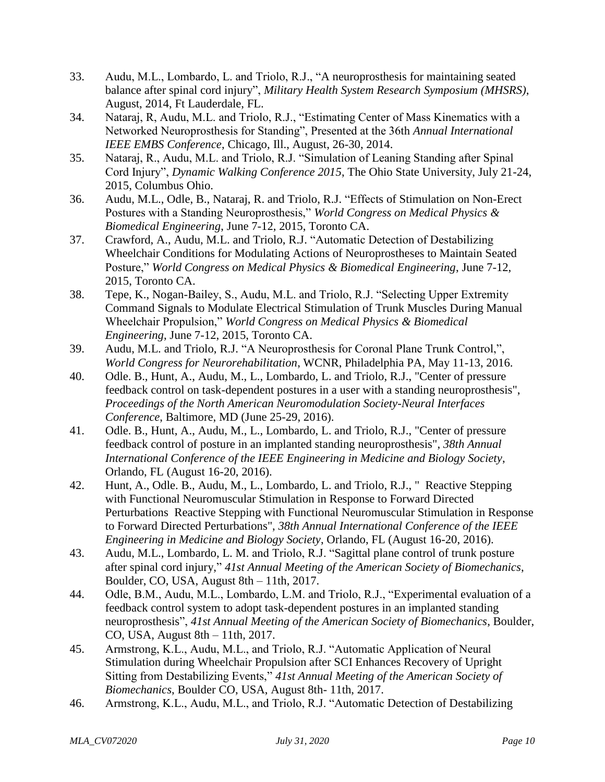- 33. Audu, M.L., Lombardo, L. and Triolo, R.J., "A neuroprosthesis for maintaining seated balance after spinal cord injury", *Military Health System Research Symposium (MHSRS)*, August, 2014, Ft Lauderdale, FL.
- 34. Nataraj, R, Audu, M.L. and Triolo, R.J., "Estimating Center of Mass Kinematics with a Networked Neuroprosthesis for Standing", Presented at the 36th *Annual International IEEE EMBS Conference*, Chicago, Ill., August, 26-30, 2014.
- 35. Nataraj, R., Audu, M.L. and Triolo, R.J. "Simulation of Leaning Standing after Spinal Cord Injury", *Dynamic Walking Conference 2015*, The Ohio State University, July 21-24, 2015, Columbus Ohio.
- 36. Audu, M.L., Odle, B., Nataraj, R. and Triolo, R.J. "Effects of Stimulation on Non-Erect Postures with a Standing Neuroprosthesis," *World Congress on Medical Physics & Biomedical Engineering*, June 7-12, 2015, Toronto CA.
- 37. Crawford, A., Audu, M.L. and Triolo, R.J. "Automatic Detection of Destabilizing Wheelchair Conditions for Modulating Actions of Neuroprostheses to Maintain Seated Posture," *World Congress on Medical Physics & Biomedical Engineering*, June 7-12, 2015, Toronto CA.
- 38. Tepe, K., Nogan-Bailey, S., Audu, M.L. and Triolo, R.J. "Selecting Upper Extremity Command Signals to Modulate Electrical Stimulation of Trunk Muscles During Manual Wheelchair Propulsion," *World Congress on Medical Physics & Biomedical Engineering*, June 7-12, 2015, Toronto CA.
- 39. Audu, M.L. and Triolo, R.J. "A Neuroprosthesis for Coronal Plane Trunk Control,", *World Congress for Neurorehabilitation*, WCNR, Philadelphia PA, May 11-13, 2016.
- 40. Odle. B., Hunt, A., Audu, M., L., Lombardo, L. and Triolo, R.J., "Center of pressure feedback control on task-dependent postures in a user with a standing neuroprosthesis", *Proceedings of the North American Neuromodulation Society-Neural Interfaces Conference*, Baltimore, MD (June 25-29, 2016).
- 41. Odle. B., Hunt, A., Audu, M., L., Lombardo, L. and Triolo, R.J., "Center of pressure feedback control of posture in an implanted standing neuroprosthesis", *38th Annual International Conference of the IEEE Engineering in Medicine and Biology Society*, Orlando, FL (August 16-20, 2016).
- 42. Hunt, A., Odle. B., Audu, M., L., Lombardo, L. and Triolo, R.J., " Reactive Stepping with Functional Neuromuscular Stimulation in Response to Forward Directed Perturbations Reactive Stepping with Functional Neuromuscular Stimulation in Response to Forward Directed Perturbations", *38th Annual International Conference of the IEEE Engineering in Medicine and Biology Society*, Orlando, FL (August 16-20, 2016).
- 43. Audu, M.L., Lombardo, L. M. and Triolo, R.J. "Sagittal plane control of trunk posture after spinal cord injury," *41st Annual Meeting of the American Society of Biomechanics*, Boulder, CO, USA, August 8th – 11th, 2017.
- 44. Odle, B.M., Audu, M.L., Lombardo, L.M. and Triolo, R.J., "Experimental evaluation of a feedback control system to adopt task-dependent postures in an implanted standing neuroprosthesis", *41st Annual Meeting of the American Society of Biomechanics*, Boulder, CO, USA, August 8th – 11th, 2017.
- 45. Armstrong, K.L., Audu, M.L., and Triolo, R.J. "Automatic Application of Neural Stimulation during Wheelchair Propulsion after SCI Enhances Recovery of Upright Sitting from Destabilizing Events," *41st Annual Meeting of the American Society of Biomechanics*, Boulder CO, USA, August 8th- 11th, 2017.
- 46. Armstrong, K.L., Audu, M.L., and Triolo, R.J. "Automatic Detection of Destabilizing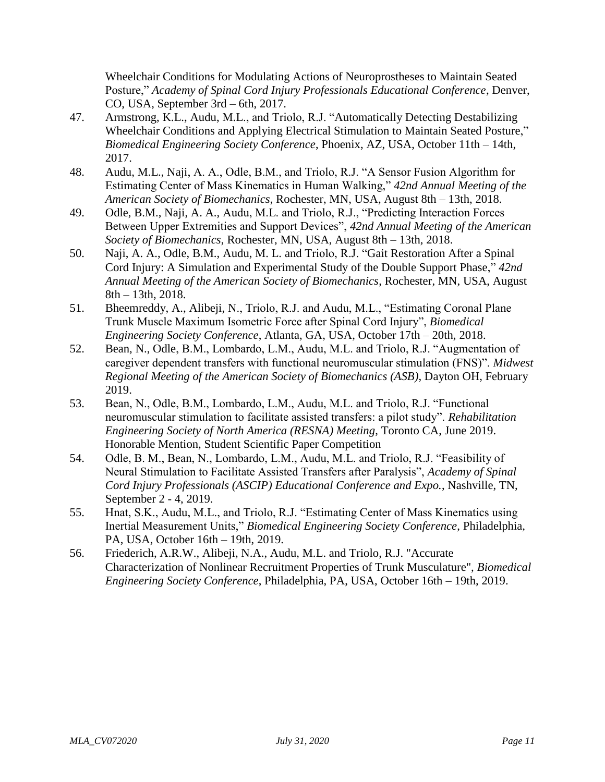Wheelchair Conditions for Modulating Actions of Neuroprostheses to Maintain Seated Posture," *Academy of Spinal Cord Injury Professionals Educational Conference*, Denver, CO, USA, September 3rd – 6th, 2017.

- 47. Armstrong, K.L., Audu, M.L., and Triolo, R.J. "Automatically Detecting Destabilizing Wheelchair Conditions and Applying Electrical Stimulation to Maintain Seated Posture," *Biomedical Engineering Society Conference*, Phoenix, AZ, USA, October 11th – 14th, 2017.
- 48. Audu, M.L., Naji, A. A., Odle, B.M., and Triolo, R.J. "A Sensor Fusion Algorithm for Estimating Center of Mass Kinematics in Human Walking," *42nd Annual Meeting of the American Society of Biomechanics*, Rochester, MN, USA, August 8th – 13th, 2018.
- 49. Odle, B.M., Naji, A. A., Audu, M.L. and Triolo, R.J., "Predicting Interaction Forces Between Upper Extremities and Support Devices", *42nd Annual Meeting of the American Society of Biomechanics*, Rochester, MN, USA, August 8th – 13th, 2018.
- 50. Naji, A. A., Odle, B.M., Audu, M. L. and Triolo, R.J. "Gait Restoration After a Spinal Cord Injury: A Simulation and Experimental Study of the Double Support Phase," *42nd Annual Meeting of the American Society of Biomechanics*, Rochester, MN, USA, August 8th – 13th, 2018.
- 51. Bheemreddy, A., Alibeji, N., Triolo, R.J. and Audu, M.L., "Estimating Coronal Plane Trunk Muscle Maximum Isometric Force after Spinal Cord Injury", *Biomedical Engineering Society Conference*, Atlanta, GA, USA, October 17th – 20th, 2018.
- 52. Bean, N., Odle, B.M., Lombardo, L.M., Audu, M.L. and Triolo, R.J. "Augmentation of caregiver dependent transfers with functional neuromuscular stimulation (FNS)". *Midwest Regional Meeting of the American Society of Biomechanics (ASB)*, Dayton OH, February 2019.
- 53. Bean, N., Odle, B.M., Lombardo, L.M., Audu, M.L. and Triolo, R.J. "Functional neuromuscular stimulation to facilitate assisted transfers: a pilot study". *Rehabilitation Engineering Society of North America (RESNA) Meeting*, Toronto CA, June 2019. Honorable Mention, Student Scientific Paper Competition
- 54. Odle, B. M., Bean, N., Lombardo, L.M., Audu, M.L. and Triolo, R.J. "Feasibility of Neural Stimulation to Facilitate Assisted Transfers after Paralysis", *Academy of Spinal Cord Injury Professionals (ASCIP) Educational Conference and Expo.*, Nashville, TN, September 2 - 4, 2019.
- 55. Hnat, S.K., Audu, M.L., and Triolo, R.J. "Estimating Center of Mass Kinematics using Inertial Measurement Units," *Biomedical Engineering Society Conference*, Philadelphia, PA, USA, October 16th – 19th, 2019.
- 56. Friederich, A.R.W., Alibeji, N.A., Audu, M.L. and Triolo, R.J. "Accurate Characterization of Nonlinear Recruitment Properties of Trunk Musculature", *Biomedical Engineering Society Conference*, Philadelphia, PA, USA, October 16th – 19th, 2019.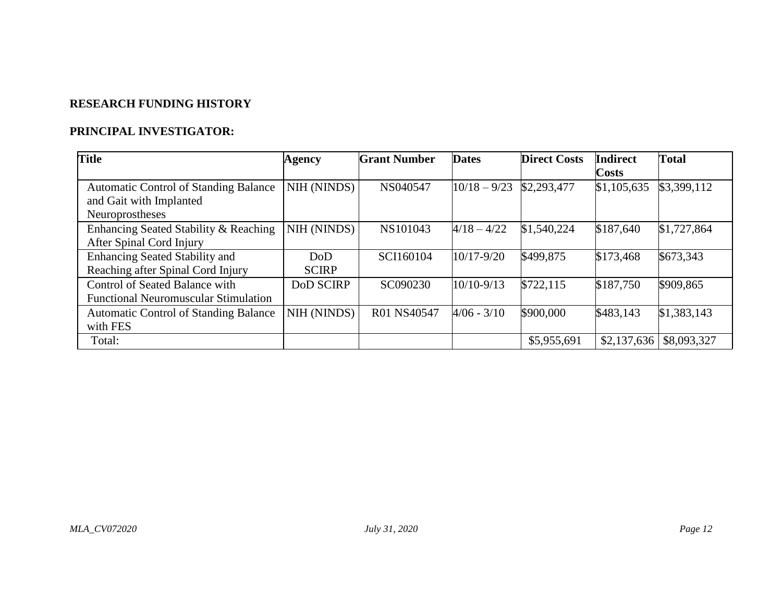## **RESEARCH FUNDING HISTORY**

## **PRINCIPAL INVESTIGATOR:**

| <b>Title</b>                                 | Agency           | <b>Grant Number</b> | <b>Dates</b>   | <b>Direct Costs</b> | <b>Indirect</b> | <b>Total</b> |
|----------------------------------------------|------------------|---------------------|----------------|---------------------|-----------------|--------------|
|                                              |                  |                     |                |                     | <b>Costs</b>    |              |
| <b>Automatic Control of Standing Balance</b> | NIH (NINDS)      | NS040547            | $10/18 - 9/23$ | \$2,293,477         | \$1,105,635     | \$3,399,112  |
| and Gait with Implanted                      |                  |                     |                |                     |                 |              |
| Neuroprostheses                              |                  |                     |                |                     |                 |              |
| Enhancing Seated Stability & Reaching        | NIH (NINDS)      | NS101043            | $4/18 - 4/22$  | \$1,540,224         | \$187,640       | \$1,727,864  |
| After Spinal Cord Injury                     |                  |                     |                |                     |                 |              |
| <b>Enhancing Seated Stability and</b>        | DoD              | SCI160104           | $10/17 - 9/20$ | \$499,875           | \$173,468       | \$673,343    |
| Reaching after Spinal Cord Injury            | <b>SCIRP</b>     |                     |                |                     |                 |              |
| Control of Seated Balance with               | <b>DoD SCIRP</b> | SC090230            | $10/10 - 9/13$ | \$722,115           | \$187,750       | \$909,865    |
| <b>Functional Neuromuscular Stimulation</b>  |                  |                     |                |                     |                 |              |
| <b>Automatic Control of Standing Balance</b> | NIH (NINDS)      | R01 NS40547         | $4/06 - 3/10$  | \$900,000           | \$483,143       | \$1,383,143  |
| with FES                                     |                  |                     |                |                     |                 |              |
| Total:                                       |                  |                     |                | \$5,955,691         | \$2,137,636     | \$8,093,327  |